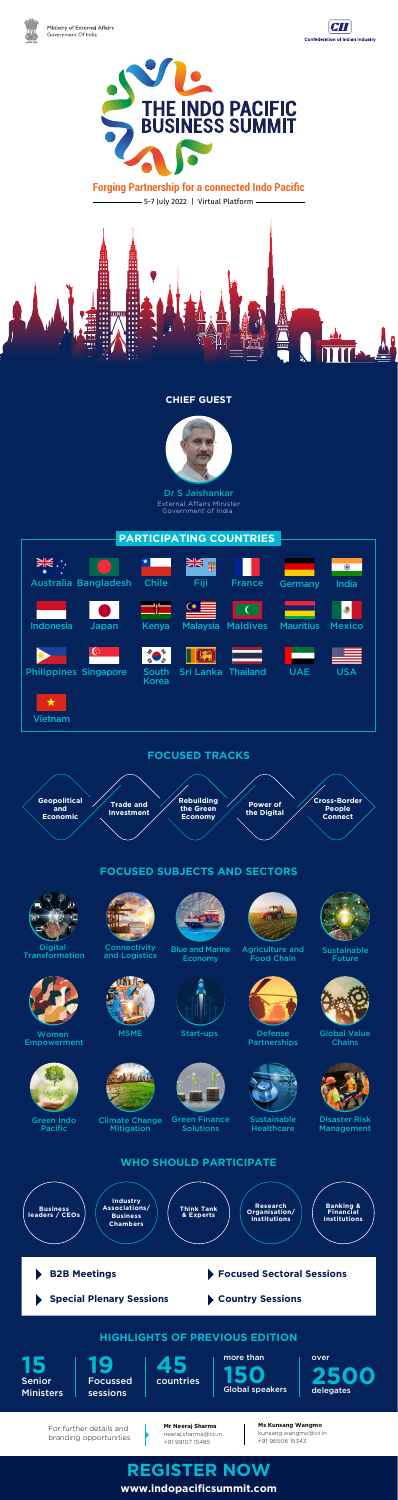#### **CHIEF GUEST**





Dr S Jaishankar External Affairs Minister Government of India

5-7 July 2022 | Virtual Platform







# **Forging Partnership for a connected Indo Pacific**



For further details and

branding opportunities

**Mr Neeraj Sharma**

neeraj.sharma@cii.in +91 99107 15485

**Ms Kunsang Wangmo** 

kunsang.wangmo@cii.in

+91 96506 15343

**www.indopacificsummit.com**

## **FOCUSED SUBJECTS AND SECTORS**



Digital



**Connectivity** 



Blue and Marine







### **FOCUSED TRACKS**



**[REGISTER NOW](www.indopaci%EF%AC%81csummit.com)**